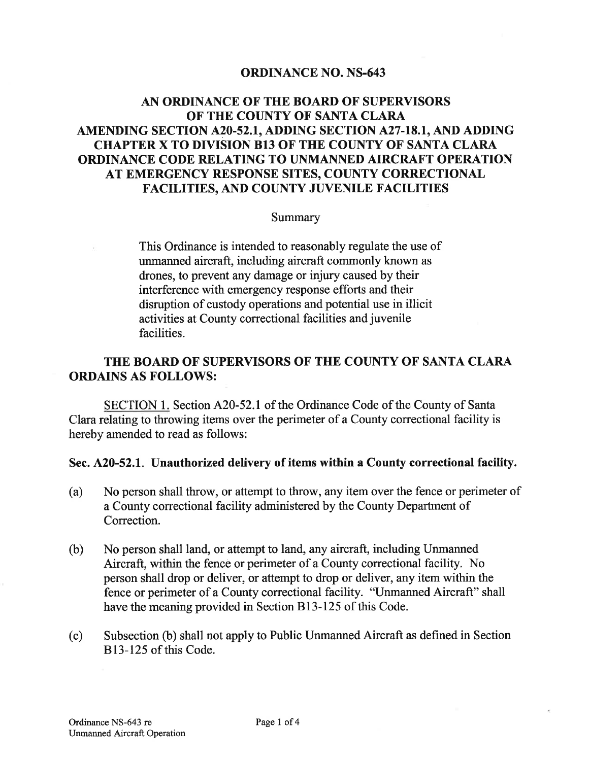### ORDINANCE NO. NS-643

# AN ORDINANCE OF THE BOARD OF SUPERVISORS OF THE COUNTY OF SANTA CLARA AMENDING SECTION A20-52.1, ADDING SECTION A27-18.1, AND ADDING CHAPTER X TO DIVISION B13 OF THE COUNTY OF SANTA CLARA ORDINANCE CODE RELATING TO UNMANNED AIRCRAFT OPERATION AT EMERGENCY RESPONSE SITES, COUNTY CORRECTIONAL FACILITIES, AND COUNTY JUVENILE FACILITIES

#### Summary

This Ordinance is intended to reasonably regulate the use of unmanned aircraft., including aircraft commonly known as drones, to prevent any damage or injury caused by their interference with emergency response efforts and their disruption of custody operations and potential use in illicit activities at County correctional facilities and juvenile facilities.

## THE BOARD OF SUPERVISORS OF THE COUNTY OF SANTA CLARA ORDAINS AS FOLLOWS:

SECTION 1. Section A20-52.1 of the Ordinance Code of the County of Santa Clara relating to throwing items over the perimeter of a County correctional facility is hereby amended to read as follows:

#### Sec. A20-52.L. Unauthorized delivery of items within a County correctional facility.

- (a) No person shall throw, or attempt to throw, any item over the fence or perimeter of a County correctional facility administered by the County Department of Correction.
- (b) No person shall land, or attempt to land, any aircraft, including Unmanned Aircraft, within the fence or perimeter of a County correctional facility. No person shall drop or deliver, or attempt to drop or deliver, any item within the fence or perimeter of a County correctional facility. "Unmanned Aircraft" shall have the meaning provided in Section Bl3-I25 of this Code.
- (c) Subsection (b) shall not apply to Public Unmanned Aircraft as defined in Section 813-125 of this Code.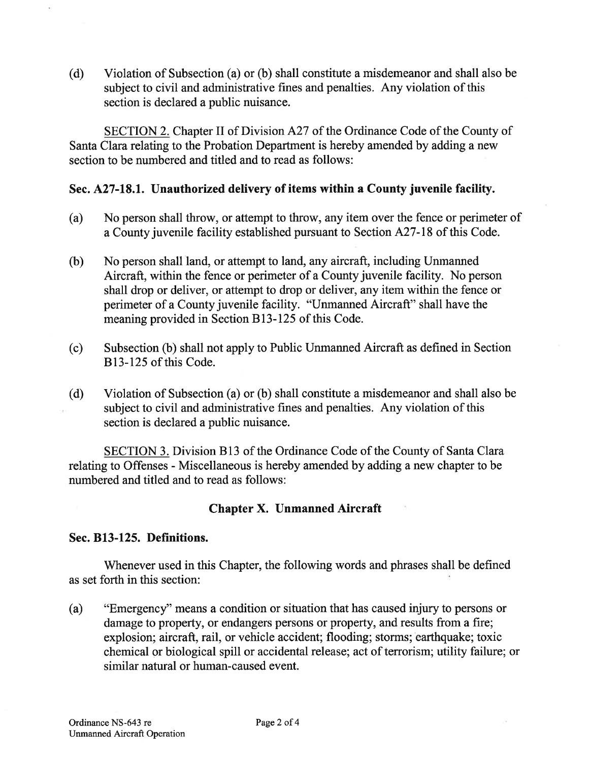(d) Violation of Subsection (a) or (b) shall constitute a misdemeanor and shall also be subject to civil and administrative fines and penalties. Any violation of this section is declared a public nuisance.

SECTION 2. Chapter II of Division A27 of the Ordinance Code of the County of Santa Clara relating to the Probation Department is hereby amended by adding a new section to be numbered and titled and to read as follows:

### Sec. A27-18.1. Unauthorized delivery of items within a County juvenile facility.

- (a) No person shall throw, or attempt to throw, any item over the fence or perimeter of a County juvenile facility established pursuant to Section 1^27-18 of this Code.
- (b) No person shall land, or attempt to land, any aircraft, including Unmanned Aircraft, within the fence or perimeter of a County juvenile facility. No person shall drop or deliver, or attempt to drop or deliver, any item within the fence or perimeter of a County juvenile facility. "Unmanned Aircraft" shall have the meaning provided in Section Bl3-125 of this Code.
- (c) Subsection (b) shall not apply to Public Unmanned Aircraft as defined in Section B<sub>13</sub>-125 of this Code.
- (d) Violation of Subsection (a) or (b) shall constitute a misdemeanor and shall also be subject to civil and administrative fines and penalties. Any violation of this section is declared a public nuisance.

SECTION 3. Division B13 of the Ordinance Code of the County of Santa Clara relating to Offenses - Miscellaneous is hereby amended by adding a new chapter to be numbered and titled and to read as follows:

## Chapter X. Unmanned Aircraft

### Sec. B13-125. Definitions.

Whenever used in this Chapter, the following words and phrases shall be defined as set forth in this section:

(a) "Emergency" means a condition or situation that has caused injury to persons or damage to property, or endangers persons or property, and results from a fire; explosion; aircraft, rail, or vehicle accident; flooding; storms; earthquake; toxic chemical or biological spill or accidental release; act of terrorism; utility failure; or similar natural or human-caused event.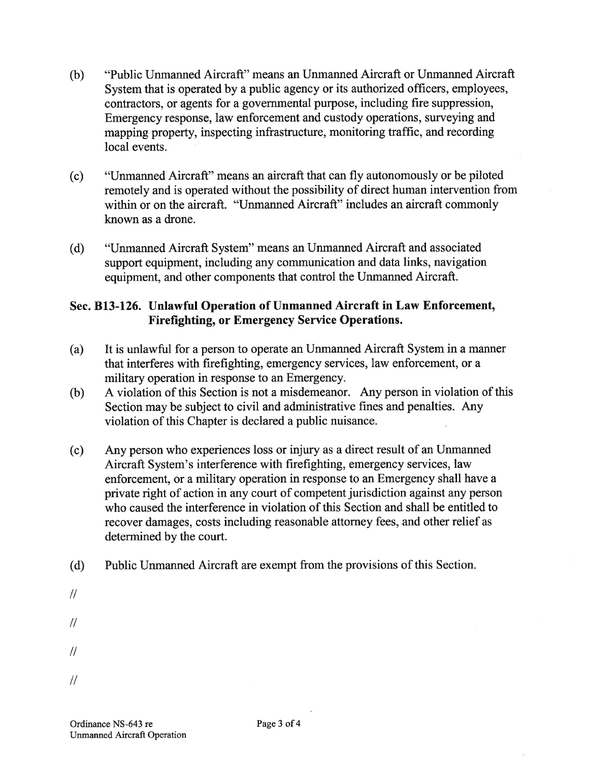- (b) "Public Unmanned Aircraft" means an Unmanned Aircraft or Unmanned Aircraft System that is operated by a public agency or its authorized officers, employees, contractors, or agents for a governmental purpose, including fire suppression, Emergency response, law enforcement and custody operations, surveying and mapping property, inspecting infrastrucfure, monitoring traffic, and recording local events.
- (c) "Unmanned Aircraft" means an aircraft that can fly autonomously or be piloted remotely and is operated without the possibility of direct human intervention from within or on the aircraft. "Unmanned Aircraft" includes an aircraft commonly known as a drone.
- (d) "IJnmanned Aircraft System" means an Unmanned Aircraft and associated support equipment, including any communication and data links, navigation equipment, and other components that control the Unmanned Aircraft.

## Sec. B13-126. Unlawful Operation of Unmanned Aircraft in Law Enforcement, Firefighting, or Emergency Service Operations.

- (a) It is unlawful for a person to operate an Unmanned Aircraft System in a manner that interferes with firefighting, emergency services, law enforcement, or a military operation in response to an Emergency.
- (b) A violation of this Section is not a misdemeanor. Any person in violation of this Section may be subject to civil and administrative fines and penalties. Any violation of this Chapter is declared a public nuisance.
- (c) Any person who experiences loss or injury as a direct result of an Unmanned Aircraft System's interference with firefighting, emergency services, law enforcement, or a military operation in response to an Emergency shall have a private right of action in any court of competent jurisdiction against any person who caused the interference in violation of this Section and shall be entitled to recover damages, costs including reasonable attorney fees, and other relief as determined by the court.
- (d) Public Unmanned Aircraft are exempt from the provisions of this Section.
- $\frac{1}{2}$  $\frac{1}{2}$  $\frac{1}{2}$
- $\frac{1}{2}$